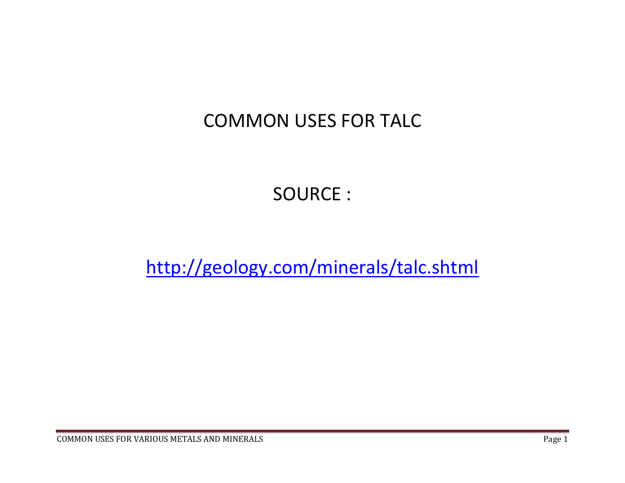## COMMON USES FOR TALC

SOURCE :

http://geology.com/minerals/talc.shtml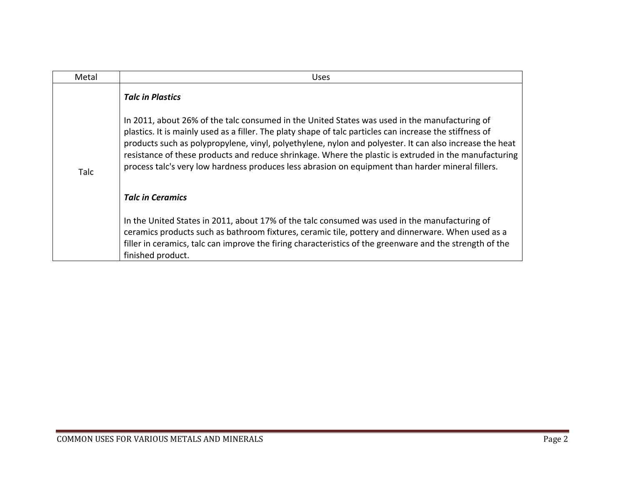| Metal | <b>Uses</b>                                                                                                                                                                                                                                                                                                                                                                                                                                                                                                                        |
|-------|------------------------------------------------------------------------------------------------------------------------------------------------------------------------------------------------------------------------------------------------------------------------------------------------------------------------------------------------------------------------------------------------------------------------------------------------------------------------------------------------------------------------------------|
| Talc  | <b>Talc in Plastics</b>                                                                                                                                                                                                                                                                                                                                                                                                                                                                                                            |
|       | In 2011, about 26% of the talc consumed in the United States was used in the manufacturing of<br>plastics. It is mainly used as a filler. The platy shape of talc particles can increase the stiffness of<br>products such as polypropylene, vinyl, polyethylene, nylon and polyester. It can also increase the heat<br>resistance of these products and reduce shrinkage. Where the plastic is extruded in the manufacturing<br>process talc's very low hardness produces less abrasion on equipment than harder mineral fillers. |
|       | <b>Talc in Ceramics</b>                                                                                                                                                                                                                                                                                                                                                                                                                                                                                                            |
|       | In the United States in 2011, about 17% of the talc consumed was used in the manufacturing of<br>ceramics products such as bathroom fixtures, ceramic tile, pottery and dinnerware. When used as a<br>filler in ceramics, talc can improve the firing characteristics of the greenware and the strength of the<br>finished product.                                                                                                                                                                                                |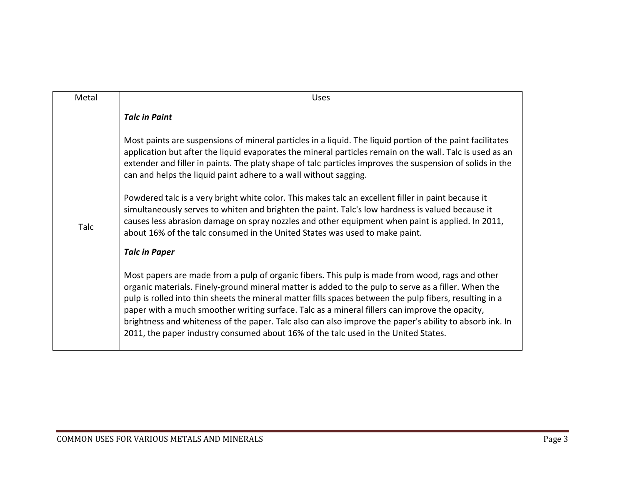| Metal | <b>Uses</b>                                                                                                                                                                                                                                                                                                                                                                                                                                                                                                                                                                                                          |
|-------|----------------------------------------------------------------------------------------------------------------------------------------------------------------------------------------------------------------------------------------------------------------------------------------------------------------------------------------------------------------------------------------------------------------------------------------------------------------------------------------------------------------------------------------------------------------------------------------------------------------------|
|       | <b>Talc in Paint</b>                                                                                                                                                                                                                                                                                                                                                                                                                                                                                                                                                                                                 |
| Talc  | Most paints are suspensions of mineral particles in a liquid. The liquid portion of the paint facilitates<br>application but after the liquid evaporates the mineral particles remain on the wall. Talc is used as an<br>extender and filler in paints. The platy shape of talc particles improves the suspension of solids in the<br>can and helps the liquid paint adhere to a wall without sagging.                                                                                                                                                                                                               |
|       | Powdered talc is a very bright white color. This makes talc an excellent filler in paint because it<br>simultaneously serves to whiten and brighten the paint. Talc's low hardness is valued because it<br>causes less abrasion damage on spray nozzles and other equipment when paint is applied. In 2011,<br>about 16% of the talc consumed in the United States was used to make paint.                                                                                                                                                                                                                           |
|       | <b>Talc in Paper</b>                                                                                                                                                                                                                                                                                                                                                                                                                                                                                                                                                                                                 |
|       | Most papers are made from a pulp of organic fibers. This pulp is made from wood, rags and other<br>organic materials. Finely-ground mineral matter is added to the pulp to serve as a filler. When the<br>pulp is rolled into thin sheets the mineral matter fills spaces between the pulp fibers, resulting in a<br>paper with a much smoother writing surface. Talc as a mineral fillers can improve the opacity,<br>brightness and whiteness of the paper. Talc also can also improve the paper's ability to absorb ink. In<br>2011, the paper industry consumed about 16% of the talc used in the United States. |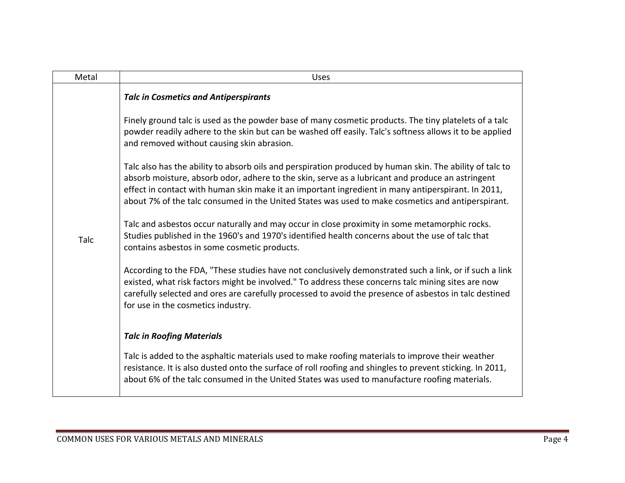| Metal | <b>Uses</b>                                                                                                                                                                                                                                                                                                                                                                                                             |
|-------|-------------------------------------------------------------------------------------------------------------------------------------------------------------------------------------------------------------------------------------------------------------------------------------------------------------------------------------------------------------------------------------------------------------------------|
| Talc  | <b>Talc in Cosmetics and Antiperspirants</b>                                                                                                                                                                                                                                                                                                                                                                            |
|       | Finely ground talc is used as the powder base of many cosmetic products. The tiny platelets of a talc<br>powder readily adhere to the skin but can be washed off easily. Talc's softness allows it to be applied<br>and removed without causing skin abrasion.                                                                                                                                                          |
|       | Talc also has the ability to absorb oils and perspiration produced by human skin. The ability of talc to<br>absorb moisture, absorb odor, adhere to the skin, serve as a lubricant and produce an astringent<br>effect in contact with human skin make it an important ingredient in many antiperspirant. In 2011,<br>about 7% of the talc consumed in the United States was used to make cosmetics and antiperspirant. |
|       | Talc and asbestos occur naturally and may occur in close proximity in some metamorphic rocks.<br>Studies published in the 1960's and 1970's identified health concerns about the use of talc that<br>contains asbestos in some cosmetic products.                                                                                                                                                                       |
|       | According to the FDA, "These studies have not conclusively demonstrated such a link, or if such a link<br>existed, what risk factors might be involved." To address these concerns talc mining sites are now<br>carefully selected and ores are carefully processed to avoid the presence of asbestos in talc destined<br>for use in the cosmetics industry.                                                            |
|       | <b>Talc in Roofing Materials</b>                                                                                                                                                                                                                                                                                                                                                                                        |
|       | Talc is added to the asphaltic materials used to make roofing materials to improve their weather<br>resistance. It is also dusted onto the surface of roll roofing and shingles to prevent sticking. In 2011,<br>about 6% of the talc consumed in the United States was used to manufacture roofing materials.                                                                                                          |